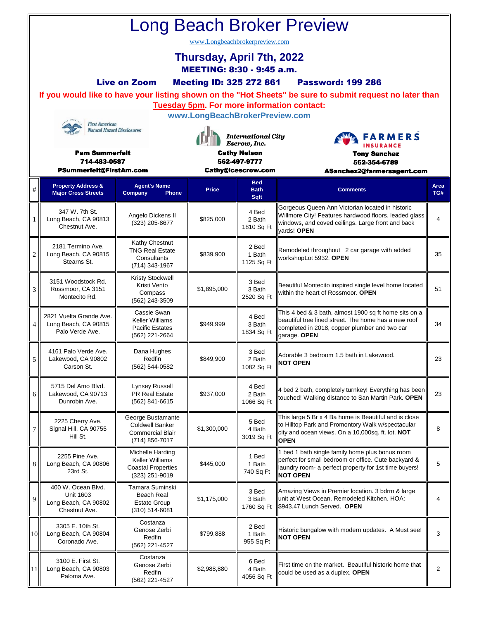| <b>Long Beach Broker Preview</b>                                 |                                                                                   |                                                                                           |                                                           |                               |                                                                                                                                                                                     |                |   |                                                             |                                         |              |                                   |                 |             |  |
|------------------------------------------------------------------|-----------------------------------------------------------------------------------|-------------------------------------------------------------------------------------------|-----------------------------------------------------------|-------------------------------|-------------------------------------------------------------------------------------------------------------------------------------------------------------------------------------|----------------|---|-------------------------------------------------------------|-----------------------------------------|--------------|-----------------------------------|-----------------|-------------|--|
| www.Longbeachbrokerpreview.com                                   |                                                                                   |                                                                                           |                                                           |                               |                                                                                                                                                                                     |                |   |                                                             |                                         |              |                                   |                 |             |  |
|                                                                  | Thursday, April 7th, 2022<br><b>MEETING: 8:30 - 9:45 a.m.</b>                     |                                                                                           |                                                           |                               |                                                                                                                                                                                     |                |   |                                                             |                                         |              |                                   |                 |             |  |
|                                                                  | <b>Live on Zoom</b><br><b>Meeting ID: 325 272 861</b><br><b>Password: 199 286</b> |                                                                                           |                                                           |                               |                                                                                                                                                                                     |                |   |                                                             |                                         |              |                                   |                 |             |  |
|                                                                  |                                                                                   |                                                                                           |                                                           |                               | If you would like to have your listing shown on the "Hot Sheets" be sure to submit request no later than<br><b>Tuesday 5pm. For more information contact:</b>                       |                |   |                                                             |                                         |              |                                   |                 |             |  |
| <b>First American</b><br><b>Natural Hazard Disclosures</b>       |                                                                                   | www.LongBeachBrokerPreview.com                                                            |                                                           |                               |                                                                                                                                                                                     |                |   |                                                             |                                         |              |                                   |                 |             |  |
|                                                                  |                                                                                   |                                                                                           | <b>International City</b><br>Escrow, Inc.                 |                               | <b>FARMERS</b><br><b>INSURANCE</b>                                                                                                                                                  |                |   |                                                             |                                         |              |                                   |                 |             |  |
| <b>Pam Summerfelt</b><br>714-483-0587<br>PSummerfelt@FirstAm.com |                                                                                   |                                                                                           | <b>Cathy Nelson</b><br>562-497-9777<br>Cathy@icescrow.com |                               | <b>Tony Sanchez</b><br>562-354-6789<br>ASanchez2@farmersagent.com                                                                                                                   |                |   |                                                             |                                         |              |                                   |                 |             |  |
|                                                                  |                                                                                   |                                                                                           |                                                           |                               |                                                                                                                                                                                     |                | # | <b>Property Address &amp;</b><br><b>Major Cross Streets</b> | <b>Agent's Name</b><br>Company<br>Phone | <b>Price</b> | <b>Bed</b><br><b>Bath</b><br>Sqft | <b>Comments</b> | Area<br>TG# |  |
| 1                                                                | 347 W. 7th St.<br>Long Beach, CA 90813<br>Chestnut Ave.                           | Angelo Dickens II<br>(323) 205-8677                                                       | \$825,000                                                 | 4 Bed<br>2 Bath<br>1810 Sq Ft | Gorgeous Queen Ann Victorian located in historic<br>Willmore City! Features hardwood floors, leaded glass<br>windows, and coved ceilings. Large front and back<br>vards! OPEN       | 4              |   |                                                             |                                         |              |                                   |                 |             |  |
| $\overline{c}$                                                   | 2181 Termino Ave.<br>Long Beach, CA 90815<br>Stearns St.                          | Kathy Chestnut<br><b>TNG Real Estate</b><br>Consultants<br>(714) 343-1967                 | \$839,900                                                 | 2 Bed<br>1 Bath<br>1125 Sq Ft | Remodeled throughout 2 car garage with added<br>workshopLot 5932. OPEN                                                                                                              | 35             |   |                                                             |                                         |              |                                   |                 |             |  |
| 3                                                                | 3151 Woodstock Rd.<br>Rossmoor, CA 3151<br>Montecito Rd.                          | <b>Kristy Stockwell</b><br>Kristi Vento<br>Compass<br>(562) 243-3509                      | \$1,895,000                                               | 3 Bed<br>3 Bath<br>2520 Sq Ft | Beautiful Montecito inspired single level home located<br>within the heart of Rossmoor. OPEN                                                                                        | 51             |   |                                                             |                                         |              |                                   |                 |             |  |
| 4                                                                | 2821 Vuelta Grande Ave.<br>Long Beach, CA 90815<br>Palo Verde Ave.                | Cassie Swan<br><b>Keller Williams</b><br><b>Pacific Estates</b><br>(562) 221-2664         | \$949,999                                                 | 4 Bed<br>3 Bath<br>1834 Sq Ft | This 4 bed & 3 bath, almost 1900 sq ft home sits on a<br>beautiful tree lined street. The home has a new roof<br>completed in 2018, copper plumber and two car<br>garage. OPEN      | 34             |   |                                                             |                                         |              |                                   |                 |             |  |
| 5                                                                | 4161 Palo Verde Ave.<br>Lakewood, CA 90802<br>Carson St.                          | Dana Hughes<br>Redfin<br>(562) 544-0582                                                   | \$849,900                                                 | 3 Bed<br>2 Bath<br>1082 Sq Ft | Adorable 3 bedroom 1.5 bath in Lakewood.<br><b>NOT OPEN</b>                                                                                                                         | 23             |   |                                                             |                                         |              |                                   |                 |             |  |
| 6                                                                | 5715 Del Amo Blvd.<br>Lakewood, CA 90713<br>Dunrobin Ave.                         | <b>Lynsey Russell</b><br>PR Real Estate<br>(562) 841-6615                                 | \$937,000                                                 | 4 Bed<br>2 Bath<br>1066 Sq Ft | 4 bed 2 bath, completely turnkey! Everything has been<br>touched! Walking distance to San Martin Park. OPEN                                                                         | 23             |   |                                                             |                                         |              |                                   |                 |             |  |
| 7                                                                | 2225 Cherry Ave.<br>Signal Hill, CA 90755<br>Hill St.                             | George Bustamante<br><b>Coldwell Banker</b><br><b>Commercial Blair</b><br>(714) 856-7017  | \$1,300,000                                               | 5 Bed<br>4 Bath<br>3019 Sq Ft | This large 5 Br x 4 Ba home is Beautiful and is close<br>to Hilltop Park and Promontory Walk w/spectacular<br>city and ocean views. On a 10,000sq. ft. lot. NOT<br><b>OPEN</b>      | 8              |   |                                                             |                                         |              |                                   |                 |             |  |
| 8                                                                | 2255 Pine Ave.<br>Long Beach, CA 90806<br>23rd St.                                | Michelle Harding<br><b>Keller Williams</b><br><b>Coastal Properties</b><br>(323) 251-9019 | \$445,000                                                 | 1 Bed<br>1 Bath<br>740 Sq Ft  | 1 bed 1 bath single family home plus bonus room<br>perfect for small bedroom or office. Cute backyard &<br>laundry room- a perfect property for 1st time buyers!<br><b>NOT OPEN</b> | 5              |   |                                                             |                                         |              |                                   |                 |             |  |
| 9                                                                | 400 W. Ocean Blvd.<br><b>Unit 1603</b><br>Long Beach, CA 90802<br>Chestnut Ave.   | Tamara Suminski<br><b>Beach Real</b><br><b>Estate Group</b><br>(310) 514-6081             | \$1,175,000                                               | 3 Bed<br>3 Bath<br>1760 Sq Ft | Amazing Views in Premier location. 3 bdrm & large<br>unit at West Ocean. Remodeled Kitchen. HOA:<br>\$943.47 Lunch Served. OPEN                                                     | 4              |   |                                                             |                                         |              |                                   |                 |             |  |
| 10                                                               | 3305 E. 10th St.<br>Long Beach, CA 90804<br>Coronado Ave.                         | Costanza<br>Genose Zerbi<br>Redfin<br>(562) 221-4527                                      | \$799,888                                                 | 2 Bed<br>1 Bath<br>955 Sq Ft  | Historic bungalow with modern updates. A Must see!<br><b>NOT OPEN</b>                                                                                                               | 3              |   |                                                             |                                         |              |                                   |                 |             |  |
| 11                                                               | 3100 E. First St.<br>Long Beach, CA 90803<br>Paloma Ave.                          | Costanza<br>Genose Zerbi<br>Redfin<br>(562) 221-4527                                      | \$2,988,880                                               | 6 Bed<br>4 Bath<br>4056 Sq Ft | First time on the market. Beautiful historic home that<br>could be used as a duplex. OPEN                                                                                           | $\overline{2}$ |   |                                                             |                                         |              |                                   |                 |             |  |